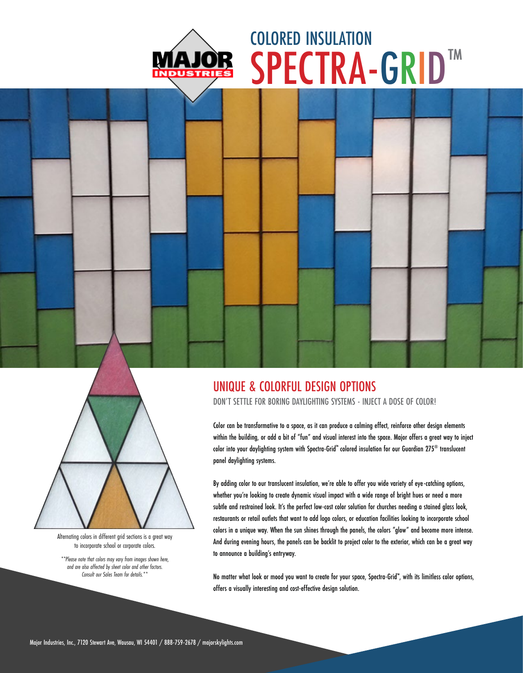

## SPECTRA-GRID™ COLORED INSULATION





Alternating colors in different grid sections is a great way to incorporate school or corporate colors.

*\*\*Please note that colors may vary from images shown here, and are also affected by sheet color and other factors. Consult our Sales Team for details.\*\**

## UNIQUE & COLORFUL DESIGN OPTIONS

DON'T SETTLE FOR BORING DAYLIGHTING SYSTEMS - INJECT A DOSE OF COLOR!

Color can be transformative to a space, as it can produce a calming effect, reinforce other design elements within the building, or add a bit of "fun" and visual interest into the space. Major offers a great way to inject color into your daylighting system with Spectra-Grid™ colored insulation for our Guardian 275® translucent panel daylighting systems.

By adding color to our translucent insulation, we're able to offer you wide variety of eye-catching options, whether you're looking to create dynamic visual impact with a wide range of bright hues or need a more subtle and restrained look. It's the perfect low-cost color solution for churches needing a stained glass look, restaurants or retail outlets that want to add logo colors, or education facilities looking to incorporate school colors in a unique way. When the sun shines through the panels, the colors "glow" and become more intense. And during evening hours, the panels can be backlit to project color to the exterior, which can be a great way to announce a building's entryway.

No matter what look or mood you want to create for your space, Spectra-Grid™ , with its limitless color options, offers a visually interesting and cost-effective design solution.